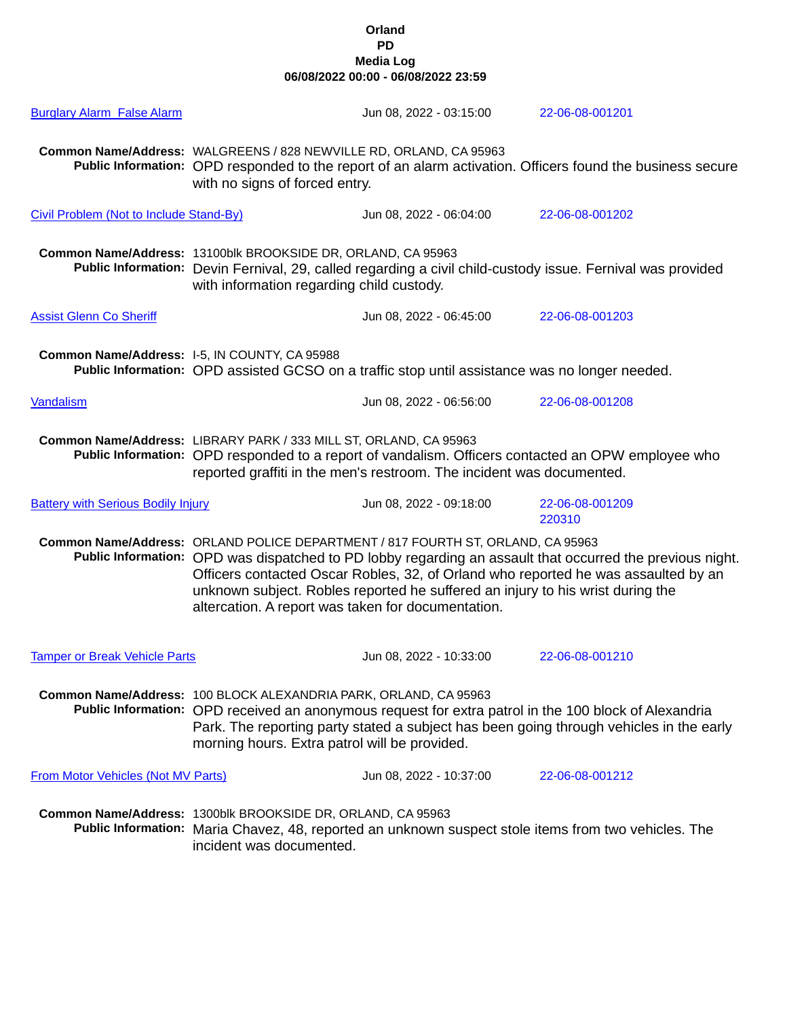## **Orland PD Media Log 06/08/2022 00:00 - 06/08/2022 23:59**

| <b>Burglary Alarm False Alarm</b>         |                                                                                                                                                                                                                                                                                                                       | Jun 08, 2022 - 03:15:00                                                                                                                                           | 22-06-08-001201                                                                                                                                                                                 |  |
|-------------------------------------------|-----------------------------------------------------------------------------------------------------------------------------------------------------------------------------------------------------------------------------------------------------------------------------------------------------------------------|-------------------------------------------------------------------------------------------------------------------------------------------------------------------|-------------------------------------------------------------------------------------------------------------------------------------------------------------------------------------------------|--|
|                                           | Common Name/Address: WALGREENS / 828 NEWVILLE RD, ORLAND, CA 95963<br>with no signs of forced entry.                                                                                                                                                                                                                  |                                                                                                                                                                   | Public Information: OPD responded to the report of an alarm activation. Officers found the business secure                                                                                      |  |
| Civil Problem (Not to Include Stand-By)   |                                                                                                                                                                                                                                                                                                                       | Jun 08, 2022 - 06:04:00                                                                                                                                           | 22-06-08-001202                                                                                                                                                                                 |  |
|                                           | Common Name/Address: 13100blk BROOKSIDE DR, ORLAND, CA 95963<br>Public Information: Devin Fernival, 29, called regarding a civil child-custody issue. Fernival was provided<br>with information regarding child custody.                                                                                              |                                                                                                                                                                   |                                                                                                                                                                                                 |  |
| <b>Assist Glenn Co Sheriff</b>            |                                                                                                                                                                                                                                                                                                                       | Jun 08, 2022 - 06:45:00                                                                                                                                           | 22-06-08-001203                                                                                                                                                                                 |  |
|                                           | Common Name/Address: I-5, IN COUNTY, CA 95988<br>Public Information: OPD assisted GCSO on a traffic stop until assistance was no longer needed.                                                                                                                                                                       |                                                                                                                                                                   |                                                                                                                                                                                                 |  |
| Vandalism                                 |                                                                                                                                                                                                                                                                                                                       | Jun 08, 2022 - 06:56:00                                                                                                                                           | 22-06-08-001208                                                                                                                                                                                 |  |
|                                           | Common Name/Address: LIBRARY PARK / 333 MILL ST, ORLAND, CA 95963<br>Public Information: OPD responded to a report of vandalism. Officers contacted an OPW employee who<br>reported graffiti in the men's restroom. The incident was documented.                                                                      |                                                                                                                                                                   |                                                                                                                                                                                                 |  |
| <b>Battery with Serious Bodily Injury</b> |                                                                                                                                                                                                                                                                                                                       | Jun 08, 2022 - 09:18:00                                                                                                                                           | 22-06-08-001209<br>220310                                                                                                                                                                       |  |
|                                           | altercation. A report was taken for documentation.                                                                                                                                                                                                                                                                    | Common Name/Address: ORLAND POLICE DEPARTMENT / 817 FOURTH ST, ORLAND, CA 95963<br>unknown subject. Robles reported he suffered an injury to his wrist during the | Public Information: OPD was dispatched to PD lobby regarding an assault that occurred the previous night.<br>Officers contacted Oscar Robles, 32, of Orland who reported he was assaulted by an |  |
| <b>Tamper or Break Vehicle Parts</b>      |                                                                                                                                                                                                                                                                                                                       | Jun 08, 2022 - 10:33:00                                                                                                                                           | 22-06-08-001210                                                                                                                                                                                 |  |
|                                           | Common Name/Address: 100 BLOCK ALEXANDRIA PARK, ORLAND, CA 95963<br>Public Information: OPD received an anonymous request for extra patrol in the 100 block of Alexandria<br>Park. The reporting party stated a subject has been going through vehicles in the early<br>morning hours. Extra patrol will be provided. |                                                                                                                                                                   |                                                                                                                                                                                                 |  |
| <b>From Motor Vehicles (Not MV Parts)</b> |                                                                                                                                                                                                                                                                                                                       | Jun 08, 2022 - 10:37:00                                                                                                                                           | 22-06-08-001212                                                                                                                                                                                 |  |
|                                           | Common Name/Address: 1300blk BROOKSIDE DR, ORLAND, CA 95963<br>incident was documented.                                                                                                                                                                                                                               |                                                                                                                                                                   | Public Information: Maria Chavez, 48, reported an unknown suspect stole items from two vehicles. The                                                                                            |  |